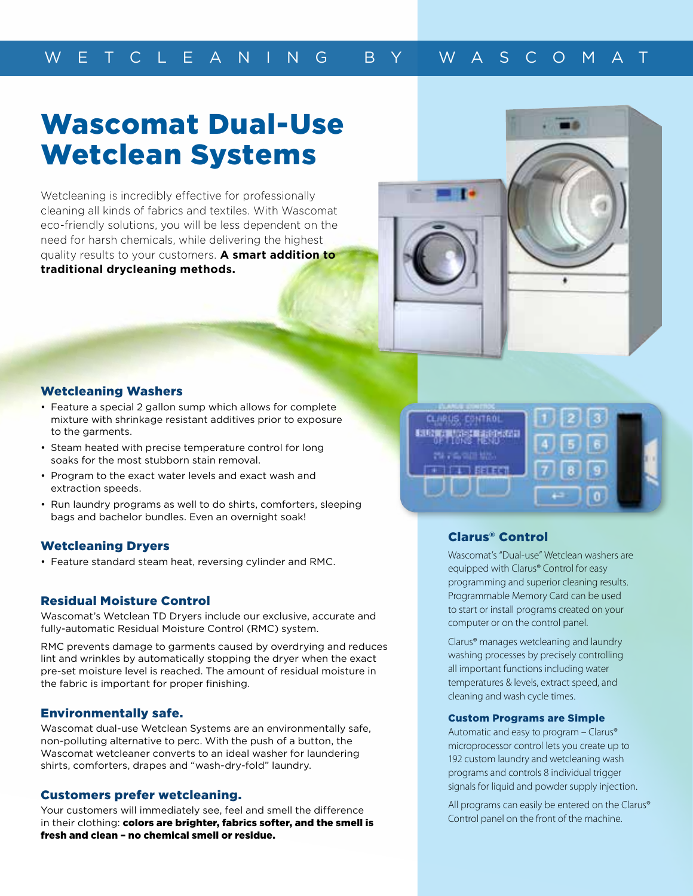# Wascomat Dual-Use Wetclean Systems

Wetcleaning is incredibly effective for professionally cleaning all kinds of fabrics and textiles. With Wascomat eco-friendly solutions, you will be less dependent on the need for harsh chemicals, while delivering the highest quality results to your customers. **A smart addition to traditional drycleaning methods.**

#### Wetcleaning Washers

- Feature a special 2 gallon sump which allows for complete mixture with shrinkage resistant additives prior to exposure to the garments.
- Steam heated with precise temperature control for long soaks for the most stubborn stain removal.
- Program to the exact water levels and exact wash and extraction speeds.
- Run laundry programs as well to do shirts, comforters, sleeping bags and bachelor bundles. Even an overnight soak!

#### Wetcleaning Dryers

• Feature standard steam heat, reversing cylinder and RMC.

#### Residual Moisture Control

Wascomat's Wetclean TD Dryers include our exclusive, accurate and fully-automatic Residual Moisture Control (RMC) system.

RMC prevents damage to garments caused by overdrying and reduces lint and wrinkles by automatically stopping the dryer when the exact pre-set moisture level is reached. The amount of residual moisture in the fabric is important for proper finishing.

#### Environmentally safe.

Wascomat dual-use Wetclean Systems are an environmentally safe, non-polluting alternative to perc. With the push of a button, the Wascomat wetcleaner converts to an ideal washer for laundering shirts, comforters, drapes and "wash-dry-fold" laundry.

#### Customers prefer wetcleaning.

Your customers will immediately see, feel and smell the difference in their clothing: colors are brighter, fabrics softer, and the smell is fresh and clean – no chemical smell or residue.



### Clarus® Control

Wascomat's "Dual-use" Wetclean washers are equipped with Clarus® Control for easy programming and superior cleaning results. Programmable Memory Card can be used to start or install programs created on your computer or on the control panel.

Clarus® manages wetcleaning and laundry washing processes by precisely controlling all important functions including water temperatures & levels, extract speed, and cleaning and wash cycle times.

#### Custom Programs are Simple

Automatic and easy to program – Clarus® microprocessor control lets you create up to 192 custom laundry and wetcleaning wash programs and controls 8 individual trigger signals for liquid and powder supply injection.

All programs can easily be entered on the Clarus® Control panel on the front of the machine.